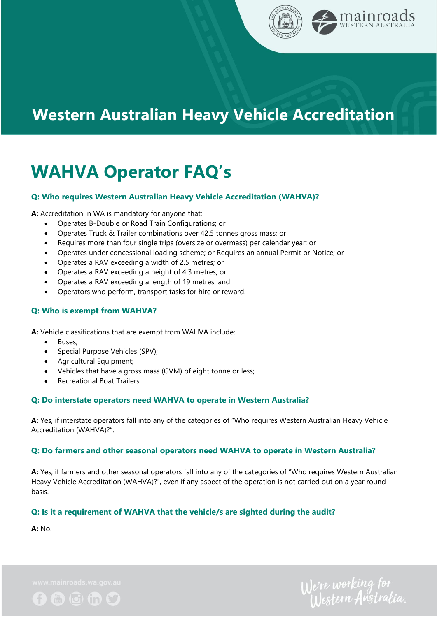

## **Western Australian Heavy Vehicle Accreditation**

# **WAHVA Operator FAQ's**

#### **Q: Who requires Western Australian Heavy Vehicle Accreditation (WAHVA)?**

**A:** Accreditation in WA is mandatory for anyone that:

- Operates B-Double or Road Train Configurations; or
- Operates Truck & Trailer combinations over 42.5 tonnes gross mass; or
- Requires more than four single trips (oversize or overmass) per calendar year; or
- Operates under concessional loading scheme; or Requires an annual Permit or Notice; or
- Operates a RAV exceeding a width of 2.5 metres; or
- Operates a RAV exceeding a height of 4.3 metres; or
- Operates a RAV exceeding a length of 19 metres; and
- Operators who perform, transport tasks for hire or reward.

#### **Q: Who is exempt from WAHVA?**

**A:** Vehicle classifications that are exempt from WAHVA include:

- Buses;
- Special Purpose Vehicles (SPV);
- Agricultural Equipment;
- Vehicles that have a gross mass (GVM) of eight tonne or less;
- Recreational Boat Trailers.

#### **Q: Do interstate operators need WAHVA to operate in Western Australia?**

**A:** Yes, if interstate operators fall into any of the categories of "Who requires Western Australian Heavy Vehicle Accreditation (WAHVA)?".

#### **Q: Do farmers and other seasonal operators need WAHVA to operate in Western Australia?**

**A:** Yes, if farmers and other seasonal operators fall into any of the categories of "Who requires Western Australian Heavy Vehicle Accreditation (WAHVA)?", even if any aspect of the operation is not carried out on a year round basis.

#### **Q: Is it a requirement of WAHVA that the vehicle/s are sighted during the audit?**

**A:** No.

 $0 0 0 0 0$ 

We're working for<br>Western Australia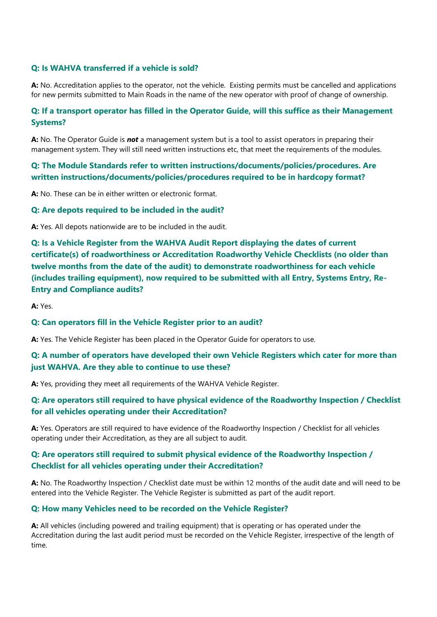#### **Q: Is WAHVA transferred if a vehicle is sold?**

**A:** No. Accreditation applies to the operator, not the vehicle. Existing permits must be cancelled and applications for new permits submitted to Main Roads in the name of the new operator with proof of change of ownership.

#### **Q: If a transport operator has filled in the Operator Guide, will this suffice as their Management Systems?**

**A:** No. The Operator Guide is *not* a management system but is a tool to assist operators in preparing their management system. They will still need written instructions etc, that meet the requirements of the modules.

### **Q: The Module Standards refer to written instructions/documents/policies/procedures. Are written instructions/documents/policies/procedures required to be in hardcopy format?**

**A:** No. These can be in either written or electronic format.

#### **Q: Are depots required to be included in the audit?**

**A:** Yes. All depots nationwide are to be included in the audit.

**Q: Is a Vehicle Register from the WAHVA Audit Report displaying the dates of current certificate(s) of roadworthiness or Accreditation Roadworthy Vehicle Checklists (no older than twelve months from the date of the audit) to demonstrate roadworthiness for each vehicle (includes trailing equipment), now required to be submitted with all Entry, Systems Entry, Re-Entry and Compliance audits?**

**A:** Yes.

#### **Q: Can operators fill in the Vehicle Register prior to an audit?**

**A:** Yes. The Vehicle Register has been placed in the Operator Guide for operators to use.

#### **Q: A number of operators have developed their own Vehicle Registers which cater for more than just WAHVA. Are they able to continue to use these?**

**A:** Yes, providing they meet all requirements of the WAHVA Vehicle Register.

#### **Q: Are operators still required to have physical evidence of the Roadworthy Inspection / Checklist for all vehicles operating under their Accreditation?**

**A:** Yes. Operators are still required to have evidence of the Roadworthy Inspection / Checklist for all vehicles operating under their Accreditation, as they are all subject to audit.

## **Q: Are operators still required to submit physical evidence of the Roadworthy Inspection / Checklist for all vehicles operating under their Accreditation?**

**A:** No. The Roadworthy Inspection / Checklist date must be within 12 months of the audit date and will need to be entered into the Vehicle Register. The Vehicle Register is submitted as part of the audit report.

#### **Q: How many Vehicles need to be recorded on the Vehicle Register?**

**A:** All vehicles (including powered and trailing equipment) that is operating or has operated under the Accreditation during the last audit period must be recorded on the Vehicle Register, irrespective of the length of time.